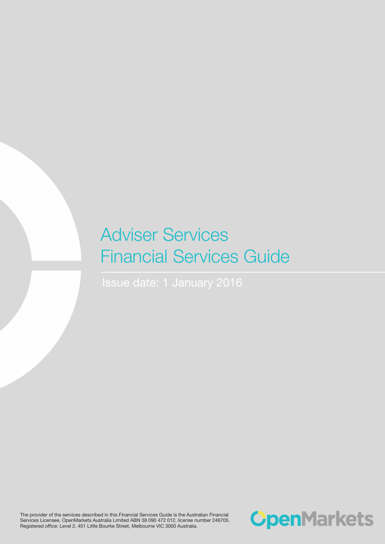# Adviser Services Financial Services Guide

The provider of the services described in this Financial Services Guide is the Australian Financial Services Licensee, OpenMarkets Australia Limited ABN 38 090 472 012, license number 246705. Registered office: Level 2, 451 Little Bourke Street, Melbourne VIC 3000 Australia.

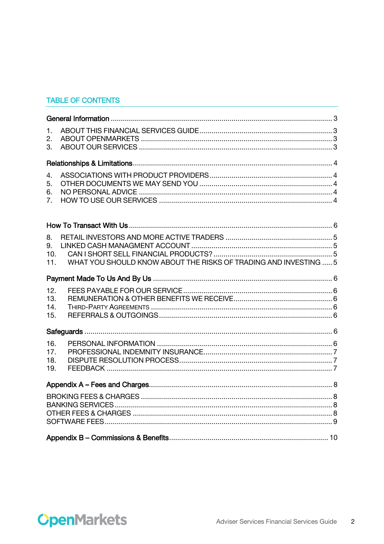# **TABLE OF CONTENTS**

| 1.<br>2.<br>3.                                                                             |  |
|--------------------------------------------------------------------------------------------|--|
|                                                                                            |  |
| 4.<br>5.<br>6.<br>7.                                                                       |  |
|                                                                                            |  |
| 8.<br>9.<br>10.<br>WHAT YOU SHOULD KNOW ABOUT THE RISKS OF TRADING AND INVESTING  5<br>11. |  |
|                                                                                            |  |
| 12.<br>13.<br>14.<br>15.                                                                   |  |
|                                                                                            |  |
| 16.<br>17.<br>18.<br>19.                                                                   |  |
|                                                                                            |  |
|                                                                                            |  |
|                                                                                            |  |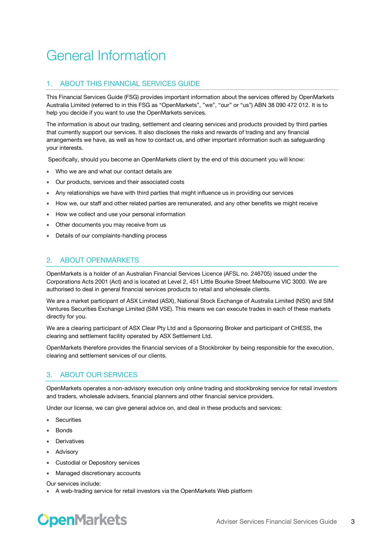# <span id="page-2-0"></span>General Information

# <span id="page-2-1"></span>1. ABOUT THIS FINANCIAL SERVICES GUIDE

This Financial Services Guide (FSG) provides important information about the services offered by OpenMarkets Australia Limited (referred to in this FSG as "OpenMarkets", "we", "our" or "us") ABN 38 090 472 012. It is to help you decide if you want to use the OpenMarkets services.

The information is about our trading, settlement and clearing services and products provided by third parties that currently support our services. It also discloses the risks and rewards of trading and any financial arrangements we have, as well as how to contact us, and other important information such as safeguarding your interests.

Specifically, should you become an OpenMarkets client by the end of this document you will know:

- Who we are and what our contact details are
- Our products, services and their associated costs
- Any relationships we have with third parties that might influence us in providing our services
- How we, our staff and other related parties are remunerated, and any other benefits we might receive
- How we collect and use your personal information
- Other documents you may receive from us
- Details of our complaints-handling process

### <span id="page-2-2"></span>2. ABOUT OPENMARKETS

OpenMarkets is a holder of an Australian Financial Services Licence (AFSL no. 246705) issued under the Corporations Acts 2001 (Act) and is located at Level 2, 451 Little Bourke Street Melbourne VIC 3000. We are authorised to deal in general financial services products to retail and wholesale clients.

We are a market participant of ASX Limited (ASX), National Stock Exchange of Australia Limited (NSX) and SIM Ventures Securities Exchange Limited (SIM VSE). This means we can execute trades in each of these markets directly for you.

We are a clearing participant of ASX Clear Pty Ltd and a Sponsoring Broker and participant of CHESS, the clearing and settlement facility operated by ASX Settlement Ltd.

OpenMarkets therefore provides the financial services of a Stockbroker by being responsible for the execution, clearing and settlement services of our clients.

### <span id="page-2-3"></span>3. ABOUT OUR SERVICES

OpenMarkets operates a non-advisory execution only online trading and stockbroking service for retail investors and traders, wholesale advisers, financial planners and other financial service providers.

Under our license, we can give general advice on, and deal in these products and services:

- Securities
- **Bonds**
- Derivatives
- Advisory
- Custodial or Depository services
- Managed discretionary accounts

Our services include:

A web-trading service for retail investors via the OpenMarkets Web platform

# **OpenMarkets**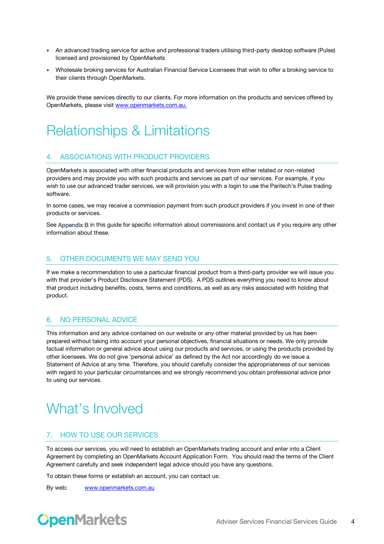- An advanced trading service for active and professional traders utilising third-party desktop software (Pulse) licensed and provisioned by OpenMarkets
- Wholesale broking services for Australian Financial Service Licensees that wish to offer a broking service to their clients through OpenMarkets.

We provide these services directly to our clients. For more information on the products and services offered by OpenMarkets, please visi[t www.openmarkets.com.au.](http://www.openmarkets.com.au/)

# <span id="page-3-0"></span>Relationships & Limitations

# <span id="page-3-1"></span>4. ASSOCIATIONS WITH PRODUCT PROVIDERS

OpenMarkets is associated with other financial products and services from either related or non-related providers and may provide you with such products and services as part of our services. For example, if you wish to use our advanced trader services, we will provision you with a login to use the Paritech's Pulse trading software.

In some cases, we may receive a commission payment from such product providers if you invest in one of their products or services.

See Appendix B in this guide for specific information about commissions and contact us if you require any other information about these.

# <span id="page-3-2"></span>5. OTHER DOCUMENTS WE MAY SEND YOU

If we make a recommendation to use a particular financial product from a third-party provider we will issue you with that provider's Product Disclosure Statement (PDS). A PDS outlines everything you need to know about that product including benefits, costs, terms and conditions, as well as any risks associated with holding that product.

### <span id="page-3-3"></span>6. NO PERSONAL ADVICE

This information and any advice contained on our website or any other material provided by us has been prepared without taking into account your personal objectives, financial situations or needs. We only provide factual information or general advice about using our products and services, or using the products provided by other licensees. We do not give 'personal advice' as defined by the Act nor accordingly do we issue a Statement of Advice at any time. Therefore, you should carefully consider the appropriateness of our services with regard to your particular circumstances and we strongly recommend you obtain professional advice prior to using our services.

# What's Involved

#### <span id="page-3-4"></span>7. HOW TO USE OUR SERVICES

To access our services, you will need to establish an OpenMarkets trading account and enter into a Client Agreement by completing an OpenMarkets Account Application Form. You should read the terms of the Client Agreement carefully and seek independent legal advice should you have any questions.

To obtain these forms or establish an account, you can contact us:

By web: [www.openmarkets.com.au](http://www.openmarkets.com.au/)

# **OpenMarkets**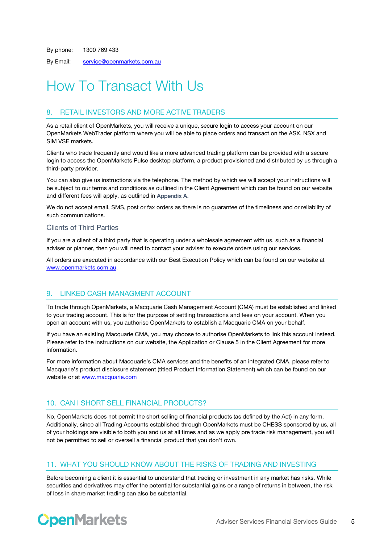By phone: 1300 769 433

By Email: [service@openmarkets.com.au](mailto:service@openmarkets.com.au)

# How To Transact With Us

# <span id="page-4-0"></span>8. RETAIL INVESTORS AND MORE ACTIVE TRADERS

As a retail client of OpenMarkets, you will receive a unique, secure login to access your account on our OpenMarkets WebTrader platform where you will be able to place orders and transact on the ASX, NSX and SIM VSE markets.

Clients who trade frequently and would like a more advanced trading platform can be provided with a secure login to access the OpenMarkets Pulse desktop platform, a product provisioned and distributed by us through a third-party provider.

You can also give us instructions via the telephone. The method by which we will accept your instructions will be subject to our terms and conditions as outlined in the Client Agreement which can be found on our website and different fees will apply, as outlined in Appendix A.

We do not accept email, SMS, post or fax orders as there is no guarantee of the timeliness and or reliability of such communications.

#### Clients of Third Parties

If you are a client of a third party that is operating under a wholesale agreement with us, such as a financial adviser or planner, then you will need to contact your adviser to execute orders using our services.

All orders are executed in accordance with our Best Execution Policy which can be found on our website at [www.openmarkets.com.au.](http://www.openmarkets.com.au/)

### <span id="page-4-1"></span>9. LINKED CASH MANAGMENT ACCOUNT

To trade through OpenMarkets, a Macquarie Cash Management Account (CMA) must be established and linked to your trading account. This is for the purpose of settling transactions and fees on your account. When you open an account with us, you authorise OpenMarkets to establish a Macquarie CMA on your behalf.

If you have an existing Macquarie CMA, you may choose to authorise OpenMarkets to link this account instead. Please refer to the instructions on our website, the Application or Clause 5 in the Client Agreement for more information.

For more information about Macquarie's CMA services and the benefits of an integrated CMA, please refer to Macquarie's product disclosure statement (titled Product Information Statement) which can be found on our website or at [www.macquarie.com](http://www.macquarie.com/)

### <span id="page-4-2"></span>10. CAN I SHORT SELL FINANCIAL PRODUCTS?

No, OpenMarkets does not permit the short selling of financial products (as defined by the Act) in any form. Additionally, since all Trading Accounts established through OpenMarkets must be CHESS sponsored by us, all of your holdings are visible to both you and us at all times and as we apply pre trade risk management, you will not be permitted to sell or oversell a financial product that you don't own.

#### <span id="page-4-3"></span>11. WHAT YOU SHOULD KNOW ABOUT THE RISKS OF TRADING AND INVESTING

Before becoming a client it is essential to understand that trading or investment in any market has risks. While securities and derivatives may offer the potential for substantial gains or a range of returns in between, the risk of loss in share market trading can also be substantial.

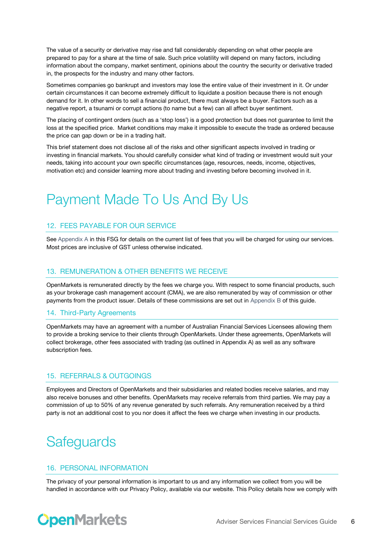The value of a security or derivative may rise and fall considerably depending on what other people are prepared to pay for a share at the time of sale. Such price volatility will depend on many factors, including information about the company, market sentiment, opinions about the country the security or derivative traded in, the prospects for the industry and many other factors.

Sometimes companies go bankrupt and investors may lose the entire value of their investment in it. Or under certain circumstances it can become extremely difficult to liquidate a position because there is not enough demand for it. In other words to sell a financial product, there must always be a buyer. Factors such as a negative report, a tsunami or corrupt actions (to name but a few) can all affect buyer sentiment.

The placing of contingent orders (such as a 'stop loss') is a good protection but does not guarantee to limit the loss at the specified price. Market conditions may make it impossible to execute the trade as ordered because the price can gap down or be in a trading halt.

This brief statement does not disclose all of the risks and other significant aspects involved in trading or investing in financial markets. You should carefully consider what kind of trading or investment would suit your needs, taking into account your own specific circumstances (age, resources, needs, income, objectives, motivation etc) and consider learning more about trading and investing before becoming involved in it.

# <span id="page-5-0"></span>Payment Made To Us And By Us

# <span id="page-5-1"></span>12. FEES PAYABLE FOR OUR SERVICE

See Appendix A in this FSG for details on the current list of fees that you will be charged for using our services. Most prices are inclusive of GST unless otherwise indicated.

#### <span id="page-5-2"></span>13. REMUNERATION & OTHER BENEFITS WE RECEIVE

OpenMarkets is remunerated directly by the fees we charge you. With respect to some financial products, such as your brokerage cash management account (CMA), we are also remunerated by way of commission or other payments from the product issuer. Details of these commissions are set out in Appendix B of this guide.

#### <span id="page-5-3"></span>14. Third-Party Agreements

OpenMarkets may have an agreement with a number of Australian Financial Services Licensees allowing them to provide a broking service to their clients through OpenMarkets. Under these agreements, OpenMarkets will collect brokerage, other fees associated with trading (as outlined in Appendix A) as well as any software subscription fees.

### <span id="page-5-4"></span>15. REFERRALS & OUTGOINGS

Employees and Directors of OpenMarkets and their subsidiaries and related bodies receive salaries, and may also receive bonuses and other benefits. OpenMarkets may receive referrals from third parties. We may pay a commission of up to 50% of any revenue generated by such referrals. Any remuneration received by a third party is not an additional cost to you nor does it affect the fees we charge when investing in our products.

# <span id="page-5-5"></span>**Safeguards**

### <span id="page-5-6"></span>16. PERSONAL INFORMATION

The privacy of your personal information is important to us and any information we collect from you will be handled in accordance with our Privacy Policy, available via our website. This Policy details how we comply with

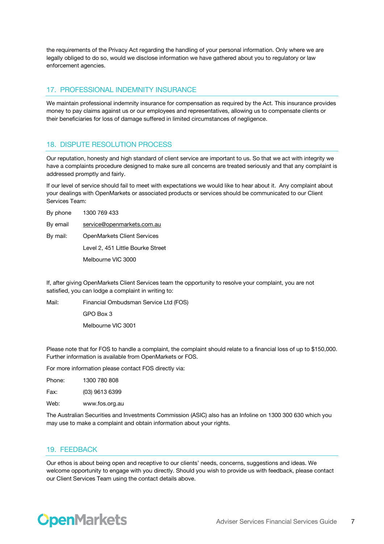the requirements of the Privacy Act regarding the handling of your personal information. Only where we are legally obliged to do so, would we disclose information we have gathered about you to regulatory or law enforcement agencies.

#### <span id="page-6-0"></span>17. PROFESSIONAL INDEMNITY INSURANCE

We maintain professional indemnity insurance for compensation as required by the Act. This insurance provides money to pay claims against us or our employees and representatives, allowing us to compensate clients or their beneficiaries for loss of damage suffered in limited circumstances of negligence.

#### <span id="page-6-1"></span>18. DISPUTE RESOLUTION PROCESS

Our reputation, honesty and high standard of client service are important to us. So that we act with integrity we have a complaints procedure designed to make sure all concerns are treated seriously and that any complaint is addressed promptly and fairly.

If our level of service should fail to meet with expectations we would like to hear about it. Any complaint about your dealings with OpenMarkets or associated products or services should be communicated to our Client Services Team:

| By phone | 1300 769 433                       |
|----------|------------------------------------|
| By email | service@openmarkets.com.au         |
| By mail: | <b>OpenMarkets Client Services</b> |
|          | Level 2, 451 Little Bourke Street  |
|          | Melbourne VIC 3000                 |

If, after giving OpenMarkets Client Services team the opportunity to resolve your complaint, you are not satisfied, you can lodge a complaint in writing to:

Mail: Financial Ombudsman Service Ltd (FOS) GPO Box 3 Melbourne VIC 3001

Please note that for FOS to handle a complaint, the complaint should relate to a financial loss of up to \$150,000. Further information is available from OpenMarkets or FOS.

For more information please contact FOS directly via:

| Phone: | 1300 780 808   |
|--------|----------------|
| Fax:   | (03) 9613 6399 |
| Web:   | www.fos.org.au |

The Australian Securities and Investments Commission (ASIC) also has an Infoline on 1300 300 630 which you may use to make a complaint and obtain information about your rights.

#### <span id="page-6-2"></span>19. FEEDBACK

Our ethos is about being open and receptive to our clients' needs, concerns, suggestions and ideas. We welcome opportunity to engage with you directly. Should you wish to provide us with feedback, please contact our Client Services Team using the contact details above.

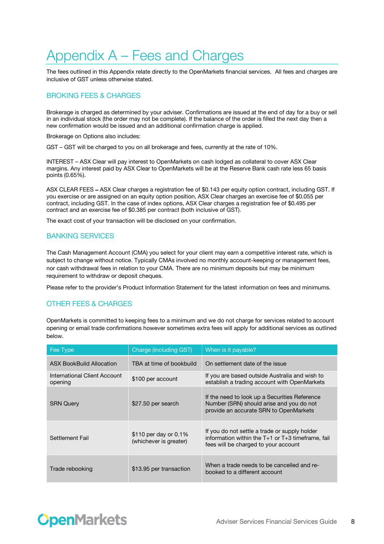# <span id="page-7-0"></span>Appendix A – Fees and Charges

The fees outlined in this Appendix relate directly to the OpenMarkets financial services. All fees and charges are inclusive of GST unless otherwise stated.

# <span id="page-7-1"></span>BROKING FEES & CHARGES

Brokerage is charged as determined by your adviser. Confirmations are issued at the end of day for a buy or sell in an individual stock (the order may not be complete). If the balance of the order is filled the next day then a new confirmation would be issued and an additional confirmation charge is applied.

Brokerage on Options also includes:

GST – GST will be charged to you on all brokerage and fees, currently at the rate of 10%.

INTEREST – ASX Clear will pay interest to OpenMarkets on cash lodged as collateral to cover ASX Clear margins. Any interest paid by ASX Clear to OpenMarkets will be at the Reserve Bank cash rate less 65 basis points (0.65%).

ASX CLEAR FEES – ASX Clear charges a registration fee of \$0.143 per equity option contract, including GST. If you exercise or are assigned on an equity option position, ASX Clear charges an exercise fee of \$0.055 per contract, including GST. In the case of index options, ASX Clear charges a registration fee of \$0.495 per contract and an exercise fee of \$0.385 per contract (both inclusive of GST).

<span id="page-7-2"></span>The exact cost of your transaction will be disclosed on your confirmation.

#### BANKING SERVICES

The Cash Management Account (CMA) you select for your client may earn a competitive interest rate, which is subject to change without notice. Typically CMAs involved no monthly account-keeping or management fees, nor cash withdrawal fees in relation to your CMA. There are no minimum deposits but may be minimum requirement to withdraw or deposit cheques.

Please refer to the provider's Product Information Statement for the latest information on fees and minimums.

### <span id="page-7-3"></span>OTHER FEES & CHARGES

OpenMarkets is committed to keeping fees to a minimum and we do not charge for services related to account opening or email trade confirmations however sometimes extra fees will apply for additional services as outlined below.

| Fee Type                                | Charge (including GST)                          | When is it payable?                                                                                                                            |
|-----------------------------------------|-------------------------------------------------|------------------------------------------------------------------------------------------------------------------------------------------------|
| <b>ASX BookBuild Allocation</b>         | TBA at time of bookbuild                        | On settlement date of the issue                                                                                                                |
| International Client Account<br>opening | \$100 per account                               | If you are based outside Australia and wish to<br>establish a trading account with OpenMarkets                                                 |
| <b>SRN Query</b>                        | \$27.50 per search                              | If the need to look up a Securities Reference<br>Number (SRN) should arise and you do not<br>provide an accurate SRN to OpenMarkets            |
| Settlement Fail                         | \$110 per day or 0.1%<br>(whichever is greater) | If you do not settle a trade or supply holder<br>information within the $T+1$ or $T+3$ timeframe, fail<br>fees will be charged to your account |
| Trade rebooking                         | \$13.95 per transaction                         | When a trade needs to be cancelled and re-<br>booked to a different account                                                                    |

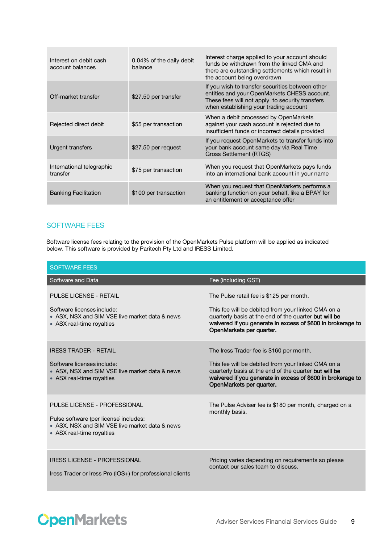| Interest on debit cash<br>account balances | 0.04% of the daily debit<br><b>balance</b> | Interest charge applied to your account should<br>funds be withdrawn from the linked CMA and<br>there are outstanding settlements which result in<br>the account being overdrawn              |
|--------------------------------------------|--------------------------------------------|-----------------------------------------------------------------------------------------------------------------------------------------------------------------------------------------------|
| Off-market transfer                        | \$27.50 per transfer                       | If you wish to transfer securities between other<br>entities and your OpenMarkets CHESS account.<br>These fees will not apply to security transfers<br>when establishing your trading account |
| Rejected direct debit                      | \$55 per transaction                       | When a debit processed by OpenMarkets<br>against your cash account is rejected due to<br>insufficient funds or incorrect details provided                                                     |
| Urgent transfers                           | \$27.50 per request                        | If you request OpenMarkets to transfer funds into<br>your bank account same day via Real Time<br><b>Gross Settlement (RTGS)</b>                                                               |
| International telegraphic<br>transfer      | \$75 per transaction                       | When you request that OpenMarkets pays funds<br>into an international bank account in your name                                                                                               |
| <b>Banking Facilitation</b>                | \$100 per transaction                      | When you request that OpenMarkets performs a<br>banking function on your behalf, like a BPAY for<br>an entitlement or acceptance offer                                                        |

### <span id="page-8-0"></span>SOFTWARE FEES

Software license fees relating to the provision of the OpenMarkets Pulse platform will be applied as indicated below. This software is provided by Paritech Pty Ltd and IRESS Limited.

| <b>SOFTWARE FEES</b>                                                                                                                                  |                                                                                                                                                                                                                                                    |  |
|-------------------------------------------------------------------------------------------------------------------------------------------------------|----------------------------------------------------------------------------------------------------------------------------------------------------------------------------------------------------------------------------------------------------|--|
| Software and Data                                                                                                                                     | Fee (including GST)                                                                                                                                                                                                                                |  |
| <b>PULSE LICENSE - RETAIL</b><br>Software licenses include:<br>• ASX, NSX and SIM VSE live market data & news<br>• ASX real-time royalties            | The Pulse retail fee is \$125 per month.<br>This fee will be debited from your linked CMA on a<br>quarterly basis at the end of the quarter but will be<br>waivered if you generate in excess of \$600 in brokerage to<br>OpenMarkets per quarter. |  |
| <b>IRESS TRADER - RETAIL</b><br>Software licenses include:<br>• ASX, NSX and SIM VSE live market data & news<br>• ASX real-time royalties             | The Iress Trader fee is \$160 per month.<br>This fee will be debited from your linked CMA on a<br>quarterly basis at the end of the quarter but will be<br>waivered if you generate in excess of \$600 in brokerage to<br>OpenMarkets per quarter. |  |
| PULSE LICENSE - PROFESSIONAL<br>Pulse software (per license) includes:<br>• ASX, NSX and SIM VSE live market data & news<br>• ASX real-time royalties | The Pulse Adviser fee is \$180 per month, charged on a<br>monthly basis.                                                                                                                                                                           |  |
| <b>IRESS LICENSE - PROFESSIONAL</b><br>Iress Trader or Iress Pro (IOS+) for professional clients                                                      | Pricing varies depending on requirements so please<br>contact our sales team to discuss.                                                                                                                                                           |  |